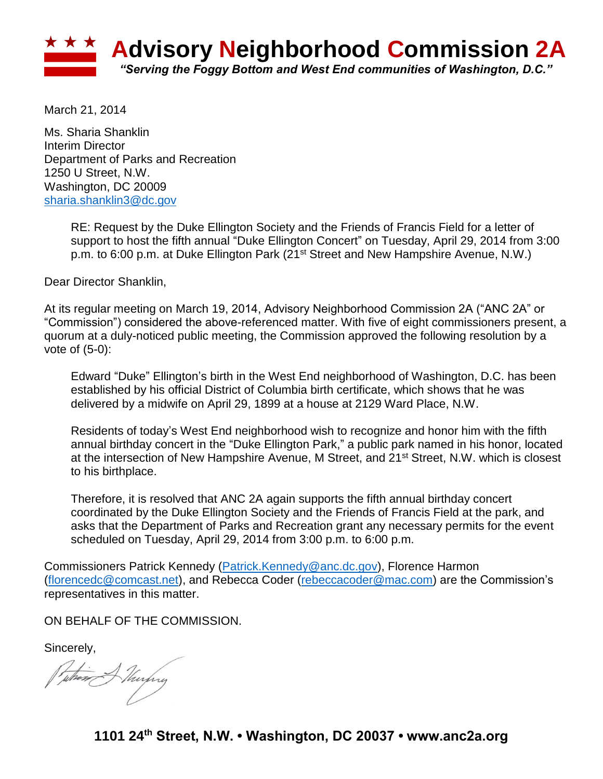

March 21, 2014

Ms. Sharia Shanklin Interim Director Department of Parks and Recreation 1250 U Street, N.W. Washington, DC 20009 [sharia.shanklin3@dc.gov](mailto:sharia.shanklin3@dc.gov)

> RE: Request by the Duke Ellington Society and the Friends of Francis Field for a letter of support to host the fifth annual "Duke Ellington Concert" on Tuesday, April 29, 2014 from 3:00 p.m. to 6:00 p.m. at Duke Ellington Park (21<sup>st</sup> Street and New Hampshire Avenue, N.W.)

Dear Director Shanklin,

At its regular meeting on March 19, 2014, Advisory Neighborhood Commission 2A ("ANC 2A" or "Commission") considered the above-referenced matter. With five of eight commissioners present, a quorum at a duly-noticed public meeting, the Commission approved the following resolution by a vote of (5-0):

Edward "Duke" Ellington's birth in the West End neighborhood of Washington, D.C. has been established by his official District of Columbia birth certificate, which shows that he was delivered by a midwife on April 29, 1899 at a house at 2129 Ward Place, N.W.

Residents of today's West End neighborhood wish to recognize and honor him with the fifth annual birthday concert in the "Duke Ellington Park," a public park named in his honor, located at the intersection of New Hampshire Avenue, M Street, and 21<sup>st</sup> Street, N.W. which is closest to his birthplace.

Therefore, it is resolved that ANC 2A again supports the fifth annual birthday concert coordinated by the Duke Ellington Society and the Friends of Francis Field at the park, and asks that the Department of Parks and Recreation grant any necessary permits for the event scheduled on Tuesday, April 29, 2014 from 3:00 p.m. to 6:00 p.m.

Commissioners Patrick Kennedy [\(Patrick.Kennedy@anc.dc.gov\)](mailto:Patrick.Kennedy@anc.dc.gov), Florence Harmon [\(florencedc@comcast.net\)](mailto:florencedc@comcast.net), and Rebecca Coder [\(rebeccacoder@mac.com\)](mailto:rebeccacoder@mac.com) are the Commission's representatives in this matter.

ON BEHALF OF THE COMMISSION.

Sincerely,

Puthing Murphy

**1101 24th Street, N.W. • Washington, DC 20037 • www.anc2a.org**